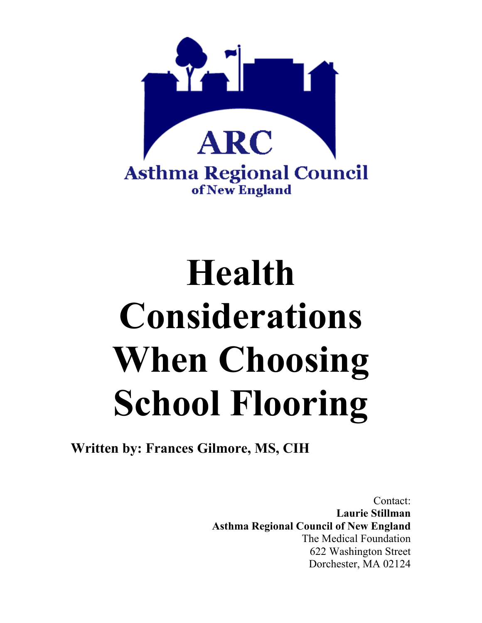

# **Health Considerations When Choosing School Flooring**

**Written by: Frances Gilmore, MS, CIH** 

Contact: **Laurie Stillman Asthma Regional Council of New England**  The Medical Foundation 622 Washington Street Dorchester, MA 02124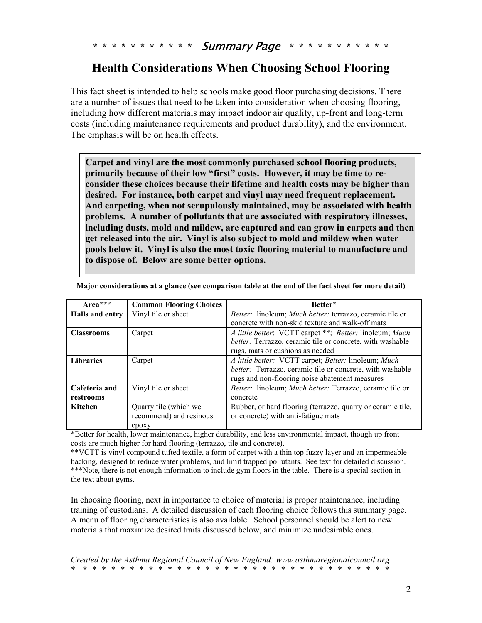**\* \* \* \* \* \* \* \* \* \* \*** Summary Page **\* \* \* \* \* \* \* \* \* \* \*** 

## **Health Considerations When Choosing School Flooring**

This fact sheet is intended to help schools make good floor purchasing decisions. There are a number of issues that need to be taken into consideration when choosing flooring, including how different materials may impact indoor air quality, up-front and long-term costs (including maintenance requirements and product durability), and the environment. The emphasis will be on health effects.

**Carpet and vinyl are the most commonly purchased school flooring products, primarily because of their low "first" costs. However, it may be time to reconsider these choices because their lifetime and health costs may be higher than desired. For instance, both carpet and vinyl may need frequent replacement. And carpeting, when not scrupulously maintained, may be associated with health problems. A number of pollutants that are associated with respiratory illnesses, including dusts, mold and mildew, are captured and can grow in carpets and then get released into the air. Vinyl is also subject to mold and mildew when water pools below it. Vinyl is also the most toxic flooring material to manufacture and to dispose of. Below are some better options.** 

| $Area***$         | <b>Common Flooring Choices</b> | Better*                                                     |
|-------------------|--------------------------------|-------------------------------------------------------------|
| Halls and entry   | Vinyl tile or sheet            | Better: linoleum; Much better: terrazzo, ceramic tile or    |
|                   |                                | concrete with non-skid texture and walk-off mats            |
| <b>Classrooms</b> | Carpet                         | A little better: VCTT carpet **; Better: linoleum; Much     |
|                   |                                | better: Terrazzo, ceramic tile or concrete, with washable   |
|                   |                                | rugs, mats or cushions as needed                            |
| <b>Libraries</b>  | Carpet                         | A little better: VCTT carpet; Better: linoleum; Much        |
|                   |                                | better: Terrazzo, ceramic tile or concrete, with washable   |
|                   |                                | rugs and non-flooring noise abatement measures              |
| Cafeteria and     | Vinyl tile or sheet            | Better: linoleum; Much better: Terrazzo, ceramic tile or    |
| restrooms         |                                | concrete                                                    |
| Kitchen           | Quarry tile (which we          | Rubber, or hard flooring (terrazzo, quarry or ceramic tile, |
|                   | recommend) and resinous        | or concrete) with anti-fatigue mats                         |
|                   | epoxy                          |                                                             |

**Major considerations at a glance (see comparison table at the end of the fact sheet for more detail)** 

\*Better for health, lower maintenance, higher durability, and less environmental impact, though up front costs are much higher for hard flooring (terrazzo, tile and concrete).

\*\*VCTT is vinyl compound tufted textile, a form of carpet with a thin top fuzzy layer and an impermeable backing, designed to reduce water problems, and limit trapped pollutants. See text for detailed discussion. \*\*\*Note, there is not enough information to include gym floors in the table. There is a special section in the text about gyms.

In choosing flooring, next in importance to choice of material is proper maintenance, including training of custodians. A detailed discussion of each flooring choice follows this summary page. A menu of flooring characteristics is also available. School personnel should be alert to new materials that maximize desired traits discussed below, and minimize undesirable ones.

*Created by the Asthma Regional Council of New England: www.asthmaregionalcouncil.org* \* \* \* \* \* \* \* \* \* \* \* \* \* \* \* \* \* \* \* \* \* \* \* \* \* \* \* \* \* \* \* \* \* \*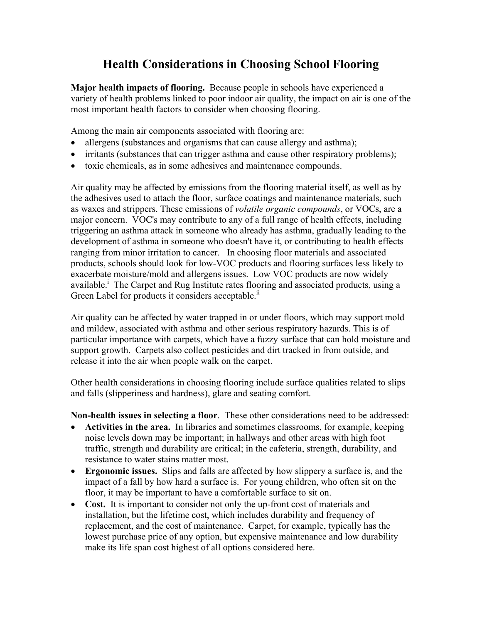# **Health Considerations in Choosing School Flooring**

**Major health impacts of flooring.** Because people in schools have experienced a variety of health problems linked to poor indoor air quality, the impact on air is one of the most important health factors to consider when choosing flooring.

Among the main air components associated with flooring are:

- allergens (substances and organisms that can cause allergy and asthma);
- irritants (substances that can trigger asthma and cause other respiratory problems);
- toxic chemicals, as in some adhesives and maintenance compounds.

Air quality may be affected by emissions from the flooring material itself, as well as by the adhesives used to attach the floor, surface coatings and maintenance materials, such as waxes and strippers. These emissions of *volatile organic compounds*, or VOCs, are a major concern. VOC's may contribute to any of a full range of health effects, including triggering an asthma attack in someone who already has asthma, gradually leading to the development of asthma in someone who doesn't have it, or contributing to health effects ranging from minor irritation to cancer. In choosing floor materials and associated products, schools should look for low-VOC products and flooring surfaces less likely to exacerbate moisture/mold and allergens issues. Low VOC products are now widely available.<sup>i</sup> The Carpet and Rug Institute rates flooring and associated products, using a Green Label for products it considers acceptable.<sup>11</sup>

Air quality can be affected by water trapped in or under floors, which may support mold and mildew, associated with asthma and other serious respiratory hazards. This is of particular importance with carpets, which have a fuzzy surface that can hold moisture and support growth. Carpets also collect pesticides and dirt tracked in from outside, and release it into the air when people walk on the carpet.

Other health considerations in choosing flooring include surface qualities related to slips and falls (slipperiness and hardness), glare and seating comfort.

**Non-health issues in selecting a floor**. These other considerations need to be addressed:

- **Activities in the area.** In libraries and sometimes classrooms, for example, keeping noise levels down may be important; in hallways and other areas with high foot traffic, strength and durability are critical; in the cafeteria, strength, durability, and resistance to water stains matter most.
- **Ergonomic issues.** Slips and falls are affected by how slippery a surface is, and the impact of a fall by how hard a surface is. For young children, who often sit on the floor, it may be important to have a comfortable surface to sit on.
- **Cost.** It is important to consider not only the up-front cost of materials and installation, but the lifetime cost, which includes durability and frequency of replacement, and the cost of maintenance. Carpet, for example, typically has the lowest purchase price of any option, but expensive maintenance and low durability make its life span cost highest of all options considered here.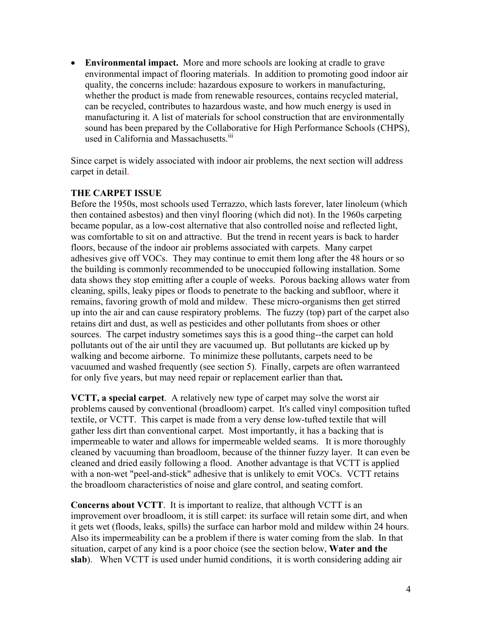• **Environmental impact.** More and more schools are looking at cradle to grave environmental impact of flooring materials. In addition to promoting good indoor air quality, the concerns include: hazardous exposure to workers in manufacturing, whether the product is made from renewable resources, contains recycled material, can be recycled, contributes to hazardous waste, and how much energy is used in manufacturing it. A list of materials for school construction that are environmentally sound has been prepared by the Collaborative for High Performance Schools (CHPS), used in California and Massachusetts.<sup>iii</sup>

Since carpet is widely associated with indoor air problems, the next section will address carpet in detail.

#### **THE CARPET ISSUE**

Before the 1950s, most schools used Terrazzo, which lasts forever, later linoleum (which then contained asbestos) and then vinyl flooring (which did not). In the 1960s carpeting became popular, as a low-cost alternative that also controlled noise and reflected light, was comfortable to sit on and attractive. But the trend in recent years is back to harder floors, because of the indoor air problems associated with carpets. Many carpet adhesives give off VOCs. They may continue to emit them long after the 48 hours or so the building is commonly recommended to be unoccupied following installation. Some data shows they stop emitting after a couple of weeks. Porous backing allows water from cleaning, spills, leaky pipes or floods to penetrate to the backing and subfloor, where it remains, favoring growth of mold and mildew. These micro-organisms then get stirred up into the air and can cause respiratory problems. The fuzzy (top) part of the carpet also retains dirt and dust, as well as pesticides and other pollutants from shoes or other sources. The carpet industry sometimes says this is a good thing--the carpet can hold pollutants out of the air until they are vacuumed up. But pollutants are kicked up by walking and become airborne. To minimize these pollutants, carpets need to be vacuumed and washed frequently (see section 5). Finally, carpets are often warranteed for only five years, but may need repair or replacement earlier than that*.* 

**VCTT, a special carpet**. A relatively new type of carpet may solve the worst air problems caused by conventional (broadloom) carpet. It's called vinyl composition tufted textile, or VCTT. This carpet is made from a very dense low-tufted textile that will gather less dirt than conventional carpet. Most importantly, it has a backing that is impermeable to water and allows for impermeable welded seams. It is more thoroughly cleaned by vacuuming than broadloom, because of the thinner fuzzy layer. It can even be cleaned and dried easily following a flood. Another advantage is that VCTT is applied with a non-wet "peel-and-stick" adhesive that is unlikely to emit VOCs. VCTT retains the broadloom characteristics of noise and glare control, and seating comfort.

**Concerns about VCTT**. It is important to realize, that although VCTT is an improvement over broadloom, it is still carpet: its surface will retain some dirt, and when it gets wet (floods, leaks, spills) the surface can harbor mold and mildew within 24 hours. Also its impermeability can be a problem if there is water coming from the slab. In that situation, carpet of any kind is a poor choice (see the section below, **Water and the slab**). When VCTT is used under humid conditions, it is worth considering adding air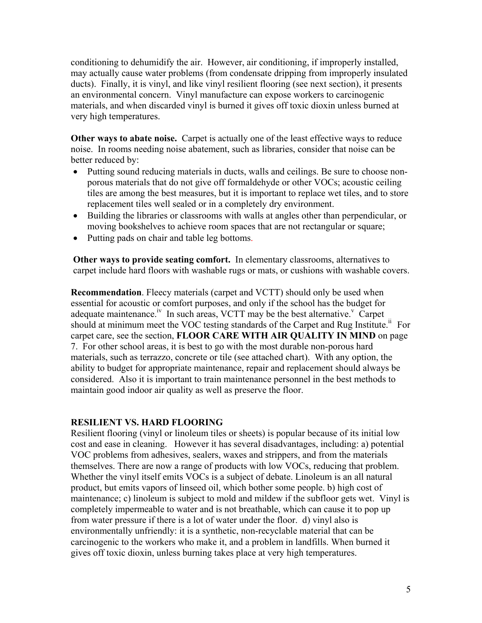conditioning to dehumidify the air. However, air conditioning, if improperly installed, may actually cause water problems (from condensate dripping from improperly insulated ducts). Finally, it is vinyl, and like vinyl resilient flooring (see next section), it presents an environmental concern. Vinyl manufacture can expose workers to carcinogenic materials, and when discarded vinyl is burned it gives off toxic dioxin unless burned at very high temperatures.

**Other ways to abate noise.** Carpet is actually one of the least effective ways to reduce noise. In rooms needing noise abatement, such as libraries, consider that noise can be better reduced by:

- Putting sound reducing materials in ducts, walls and ceilings. Be sure to choose nonporous materials that do not give off formaldehyde or other VOCs; acoustic ceiling tiles are among the best measures, but it is important to replace wet tiles, and to store replacement tiles well sealed or in a completely dry environment.
- Building the libraries or classrooms with walls at angles other than perpendicular, or moving bookshelves to achieve room spaces that are not rectangular or square;
- Putting pads on chair and table leg bottoms.

**Other ways to provide seating comfort.** In elementary classrooms, alternatives to carpet include hard floors with washable rugs or mats, or cushions with washable covers.

**Recommendation**. Fleecy materials (carpet and VCTT) should only be used when essential for acoustic or comfort purposes, and only if the school has the budget for adequate maintenance.<sup>iv</sup> In such areas, VCTT may be the best alternative.<sup>v</sup> Carpet should at minimum meet the VOC testing standards of the Carpet and Rug Institute.<sup>ii</sup> For carpet care, see the section, **FLOOR CARE WITH AIR QUALITY IN MIND** on page 7. For other school areas, it is best to go with the most durable non-porous hard materials, such as terrazzo, concrete or tile (see attached chart). With any option, the ability to budget for appropriate maintenance, repair and replacement should always be considered. Also it is important to train maintenance personnel in the best methods to maintain good indoor air quality as well as preserve the floor.

#### **RESILIENT VS. HARD FLOORING**

Resilient flooring (vinyl or linoleum tiles or sheets) is popular because of its initial low cost and ease in cleaning. However it has several disadvantages, including: a) potential VOC problems from adhesives, sealers, waxes and strippers, and from the materials themselves. There are now a range of products with low VOCs, reducing that problem. Whether the vinyl itself emits VOCs is a subject of debate. Linoleum is an all natural product, but emits vapors of linseed oil, which bother some people. b) high cost of maintenance; c) linoleum is subject to mold and mildew if the subfloor gets wet. Vinyl is completely impermeable to water and is not breathable, which can cause it to pop up from water pressure if there is a lot of water under the floor. d) vinyl also is environmentally unfriendly: it is a synthetic, non-recyclable material that can be carcinogenic to the workers who make it, and a problem in landfills. When burned it gives off toxic dioxin, unless burning takes place at very high temperatures.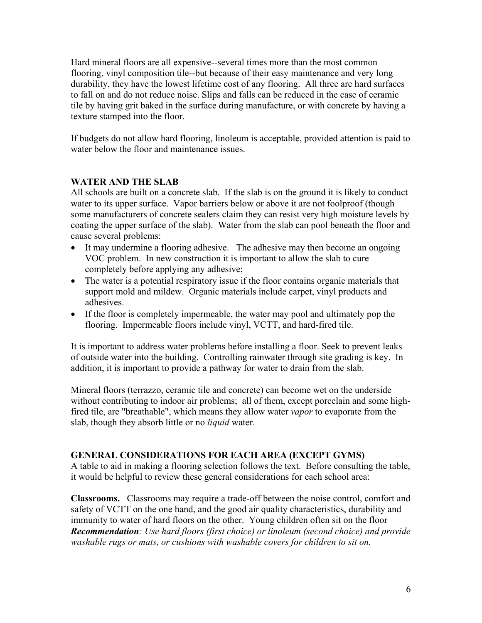Hard mineral floors are all expensive--several times more than the most common flooring, vinyl composition tile--but because of their easy maintenance and very long durability, they have the lowest lifetime cost of any flooring. All three are hard surfaces to fall on and do not reduce noise. Slips and falls can be reduced in the case of ceramic tile by having grit baked in the surface during manufacture, or with concrete by having a texture stamped into the floor.

If budgets do not allow hard flooring, linoleum is acceptable, provided attention is paid to water below the floor and maintenance issues.

## **WATER AND THE SLAB**

All schools are built on a concrete slab. If the slab is on the ground it is likely to conduct water to its upper surface. Vapor barriers below or above it are not foolproof (though some manufacturers of concrete sealers claim they can resist very high moisture levels by coating the upper surface of the slab). Water from the slab can pool beneath the floor and cause several problems:

- It may undermine a flooring adhesive. The adhesive may then become an ongoing VOC problem. In new construction it is important to allow the slab to cure completely before applying any adhesive;
- The water is a potential respiratory issue if the floor contains organic materials that support mold and mildew. Organic materials include carpet, vinyl products and adhesives.
- If the floor is completely impermeable, the water may pool and ultimately pop the flooring. Impermeable floors include vinyl, VCTT, and hard-fired tile.

It is important to address water problems before installing a floor. Seek to prevent leaks of outside water into the building. Controlling rainwater through site grading is key. In addition, it is important to provide a pathway for water to drain from the slab.

Mineral floors (terrazzo, ceramic tile and concrete) can become wet on the underside without contributing to indoor air problems; all of them, except porcelain and some highfired tile, are "breathable", which means they allow water *vapor* to evaporate from the slab, though they absorb little or no *liquid* water.

#### **GENERAL CONSIDERATIONS FOR EACH AREA (EXCEPT GYMS)**

A table to aid in making a flooring selection follows the text. Before consulting the table, it would be helpful to review these general considerations for each school area:

**Classrooms.** Classrooms may require a trade-off between the noise control, comfort and safety of VCTT on the one hand, and the good air quality characteristics, durability and immunity to water of hard floors on the other. Young children often sit on the floor *Recommendation: Use hard floors (first choice) or linoleum (second choice) and provide washable rugs or mats, or cushions with washable covers for children to sit on.*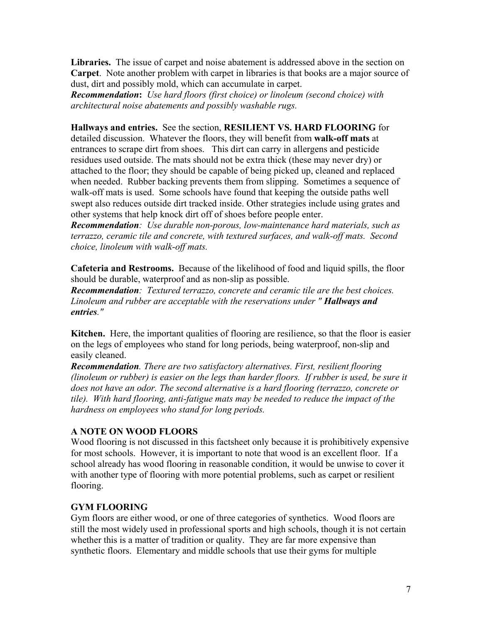**Libraries.** The issue of carpet and noise abatement is addressed above in the section on **Carpet**. Note another problem with carpet in libraries is that books are a major source of dust, dirt and possibly mold, which can accumulate in carpet.

*Recommendation***:** *Use hard floors (first choice) or linoleum (second choice) with architectural noise abatements and possibly washable rugs.* 

#### **Hallways and entries.** See the section, **RESILIENT VS. HARD FLOORING** for

detailed discussion.Whatever the floors, they will benefit from **walk-off mats** at entrances to scrape dirt from shoes. This dirt can carry in allergens and pesticide residues used outside. The mats should not be extra thick (these may never dry) or attached to the floor; they should be capable of being picked up, cleaned and replaced when needed. Rubber backing prevents them from slipping. Sometimes a sequence of walk-off mats is used. Some schools have found that keeping the outside paths well swept also reduces outside dirt tracked inside. Other strategies include using grates and other systems that help knock dirt off of shoes before people enter.

*Recommendation: Use durable non-porous, low-maintenance hard materials, such as terrazzo, ceramic tile and concrete, with textured surfaces, and walk-off mats. Second choice, linoleum with walk-off mats.* 

**Cafeteria and Restrooms.** Because of the likelihood of food and liquid spills, the floor should be durable, waterproof and as non-slip as possible.

*Recommendation: Textured terrazzo, concrete and ceramic tile are the best choices. Linoleum and rubber are acceptable with the reservations under " Hallways and entries."*

**Kitchen.** Here, the important qualities of flooring are resilience, so that the floor is easier on the legs of employees who stand for long periods, being waterproof, non-slip and easily cleaned.

*Recommendation. There are two satisfactory alternatives. First, resilient flooring (linoleum or rubber) is easier on the legs than harder floors. If rubber is used, be sure it does not have an odor. The second alternative is a hard flooring (terrazzo, concrete or tile). With hard flooring, anti-fatigue mats may be needed to reduce the impact of the hardness on employees who stand for long periods.* 

#### **A NOTE ON WOOD FLOORS**

Wood flooring is not discussed in this factsheet only because it is prohibitively expensive for most schools. However, it is important to note that wood is an excellent floor. If a school already has wood flooring in reasonable condition, it would be unwise to cover it with another type of flooring with more potential problems, such as carpet or resilient flooring.

#### **GYM FLOORING**

Gym floors are either wood, or one of three categories of synthetics. Wood floors are still the most widely used in professional sports and high schools, though it is not certain whether this is a matter of tradition or quality. They are far more expensive than synthetic floors. Elementary and middle schools that use their gyms for multiple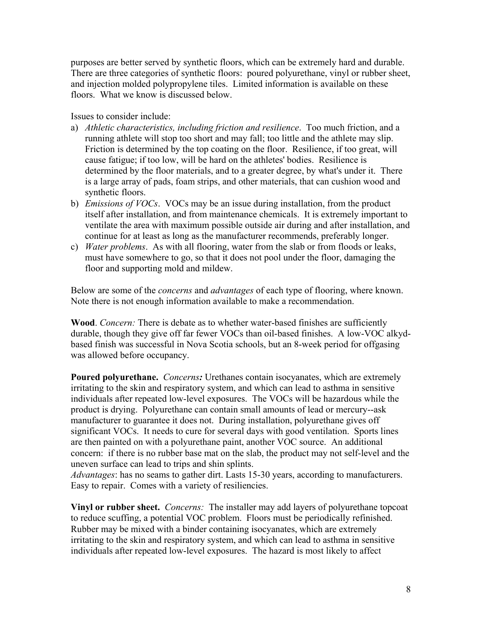purposes are better served by synthetic floors, which can be extremely hard and durable. There are three categories of synthetic floors: poured polyurethane, vinyl or rubber sheet, and injection molded polypropylene tiles. Limited information is available on these floors. What we know is discussed below.

#### Issues to consider include:

- a) *Athletic characteristics, including friction and resilience*. Too much friction, and a running athlete will stop too short and may fall; too little and the athlete may slip. Friction is determined by the top coating on the floor. Resilience, if too great, will cause fatigue; if too low, will be hard on the athletes' bodies. Resilience is determined by the floor materials, and to a greater degree, by what's under it. There is a large array of pads, foam strips, and other materials, that can cushion wood and synthetic floors.
- b) *Emissions of VOCs*. VOCs may be an issue during installation, from the product itself after installation, and from maintenance chemicals. It is extremely important to ventilate the area with maximum possible outside air during and after installation, and continue for at least as long as the manufacturer recommends, preferably longer.
- c) *Water problems*. As with all flooring, water from the slab or from floods or leaks, must have somewhere to go, so that it does not pool under the floor, damaging the floor and supporting mold and mildew.

Below are some of the *concerns* and *advantages* of each type of flooring, where known. Note there is not enough information available to make a recommendation.

**Wood**. *Concern:* There is debate as to whether water-based finishes are sufficiently durable, though they give off far fewer VOCs than oil-based finishes. A low-VOC alkydbased finish was successful in Nova Scotia schools, but an 8-week period for offgasing was allowed before occupancy.

**Poured polyurethane.** *Concerns:* Urethanes contain isocyanates, which are extremely irritating to the skin and respiratory system, and which can lead to asthma in sensitive individuals after repeated low-level exposures. The VOCs will be hazardous while the product is drying. Polyurethane can contain small amounts of lead or mercury--ask manufacturer to guarantee it does not. During installation, polyurethane gives off significant VOCs. It needs to cure for several days with good ventilation. Sports lines are then painted on with a polyurethane paint, another VOC source. An additional concern: if there is no rubber base mat on the slab, the product may not self-level and the uneven surface can lead to trips and shin splints.

*Advantages*: has no seams to gather dirt. Lasts 15-30 years, according to manufacturers. Easy to repair. Comes with a variety of resiliencies.

**Vinyl or rubber sheet.** *Concerns:* The installer may add layers of polyurethane topcoat to reduce scuffing, a potential VOC problem. Floors must be periodically refinished. Rubber may be mixed with a binder containing isocyanates, which are extremely irritating to the skin and respiratory system, and which can lead to asthma in sensitive individuals after repeated low-level exposures. The hazard is most likely to affect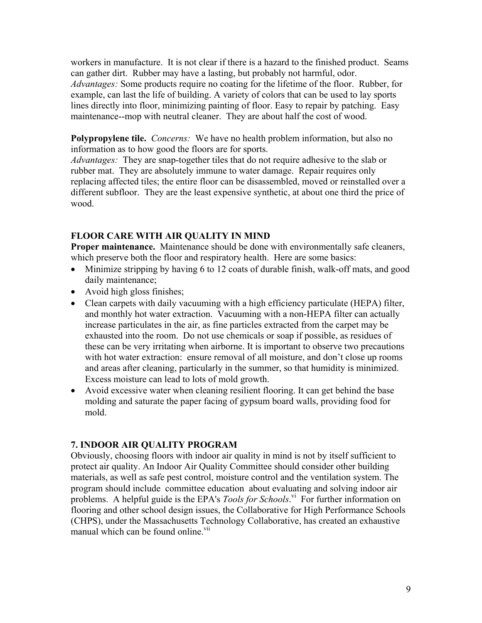workers in manufacture. It is not clear if there is a hazard to the finished product. Seams can gather dirt. Rubber may have a lasting, but probably not harmful, odor. *Advantages:* Some products require no coating for the lifetime of the floor. Rubber, for example, can last the life of building. A variety of colors that can be used to lay sports lines directly into floor, minimizing painting of floor. Easy to repair by patching. Easy maintenance--mop with neutral cleaner. They are about half the cost of wood.

**Polypropylene tile.** *Concerns:* We have no health problem information, but also no information as to how good the floors are for sports.

*Advantages:* They are snap-together tiles that do not require adhesive to the slab or rubber mat. They are absolutely immune to water damage. Repair requires only replacing affected tiles; the entire floor can be disassembled, moved or reinstalled over a different subfloor. They are the least expensive synthetic, at about one third the price of wood.

### **FLOOR CARE WITH AIR QUALITY IN MIND**

**Proper maintenance.** Maintenance should be done with environmentally safe cleaners, which preserve both the floor and respiratory health. Here are some basics:

- Minimize stripping by having 6 to 12 coats of durable finish, walk-off mats, and good daily maintenance;
- Avoid high gloss finishes;
- Clean carpets with daily vacuuming with a high efficiency particulate (HEPA) filter, and monthly hot water extraction. Vacuuming with a non-HEPA filter can actually increase particulates in the air, as fine particles extracted from the carpet may be exhausted into the room. Do not use chemicals or soap if possible, as residues of these can be very irritating when airborne. It is important to observe two precautions with hot water extraction: ensure removal of all moisture, and don't close up rooms and areas after cleaning, particularly in the summer, so that humidity is minimized. Excess moisture can lead to lots of mold growth.
- Avoid excessive water when cleaning resilient flooring. It can get behind the base molding and saturate the paper facing of gypsum board walls, providing food for mold.

#### **7. INDOOR AIR QUALITY PROGRAM**

Obviously, choosing floors with indoor air quality in mind is not by itself sufficient to protect air quality. An Indoor Air Quality Committee should consider other building materials, as well as safe pest control, moisture control and the ventilation system. The program should include committee education about evaluating and solving indoor air problems. A helpful guide is the EPA's *Tools for Schools*.<sup>vi</sup> For further information on flooring and other school design issues, the Collaborative for High Performance Schools (CHPS), under the Massachusetts Technology Collaborative, has created an exhaustive manual which can be found online.<sup>vii</sup>